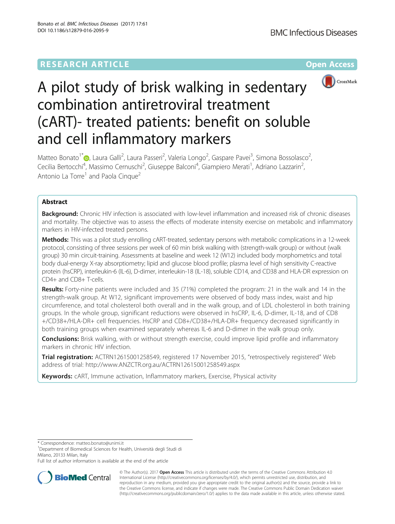## **RESEARCH ARTICLE Example 2014 12:30 The Community Community Community Community Community Community Community**



# A pilot study of brisk walking in sedentary combination antiretroviral treatment (cART)- treated patients: benefit on soluble and cell inflammatory markers

Matteo Bonato<sup>1\*</sup> (**p**[,](http://orcid.org/0000-0002-5589-7957) Laura Galli<sup>2</sup>, Laura Passeri<sup>2</sup>, Valeria Longo<sup>2</sup>, Gaspare Pavei<sup>3</sup>, Simona Bossolasco<sup>2</sup> .<br>, Cecilia Bertocchi<sup>4</sup>, Massimo Cernuschi<sup>2</sup>, Giuseppe Balconi<sup>4</sup>, Giampiero Merati<sup>1</sup>, Adriano Lazzarin<sup>2</sup> , Antonio La Torre<sup>1</sup> and Paola Cinque<sup>2</sup>

## Abstract

Background: Chronic HIV infection is associated with low-level inflammation and increased risk of chronic diseases and mortality. The objective was to assess the effects of moderate intensity exercise on metabolic and inflammatory markers in HIV-infected treated persons.

Methods: This was a pilot study enrolling cART-treated, sedentary persons with metabolic complications in a 12-week protocol, consisting of three sessions per week of 60 min brisk walking with (strength-walk group) or without (walk group) 30 min circuit-training. Assessments at baseline and week 12 (W12) included body morphometrics and total body dual-energy X-ray absorptiometry; lipid and glucose blood profile; plasma level of high sensitivity C-reactive protein (hsCRP), interleukin-6 (IL-6), D-dimer, interleukin-18 (IL-18), soluble CD14, and CD38 and HLA-DR expression on CD4+ and CD8+ T-cells.

Results: Forty-nine patients were included and 35 (71%) completed the program: 21 in the walk and 14 in the strength-walk group. At W12, significant improvements were observed of body mass index, waist and hip circumference, and total cholesterol both overall and in the walk group, and of LDL cholesterol in both training groups. In the whole group, significant reductions were observed in hsCRP, IL-6, D-dimer, IL-18, and of CD8 +/CD38+/HLA-DR+ cell frequencies. HsCRP and CD8+/CD38+/HLA-DR+ frequency decreased significantly in both training groups when examined separately whereas IL-6 and D-dimer in the walk group only.

**Conclusions:** Brisk walking, with or without strength exercise, could improve lipid profile and inflammatory markers in chronic HIV infection.

Trial registration: ACTRN12615001258549, registered 17 November 2015, "retrospectively registered" Web address of trial: [http://www.ANZCTR.org.au/ACTRN12615001258549.aspx](http://www.anzctr.org.au/ACTRN12615001258549.aspx)

Keywords: cART, Immune activation, Inflammatory markers, Exercise, Physical activity

<sup>1</sup>Department of Biomedical Sciences for Health, Università degli Studi di Milano, 20133 Milan, Italy

Full list of author information is available at the end of the article



© The Author(s). 2017 **Open Access** This article is distributed under the terms of the Creative Commons Attribution 4.0 International License [\(http://creativecommons.org/licenses/by/4.0/](http://creativecommons.org/licenses/by/4.0/)), which permits unrestricted use, distribution, and reproduction in any medium, provided you give appropriate credit to the original author(s) and the source, provide a link to the Creative Commons license, and indicate if changes were made. The Creative Commons Public Domain Dedication waiver [\(http://creativecommons.org/publicdomain/zero/1.0/](http://creativecommons.org/publicdomain/zero/1.0/)) applies to the data made available in this article, unless otherwise stated.

<sup>\*</sup> Correspondence: [matteo.bonato@unimi.it](mailto:matteo.bonato@unimi.it) <sup>1</sup>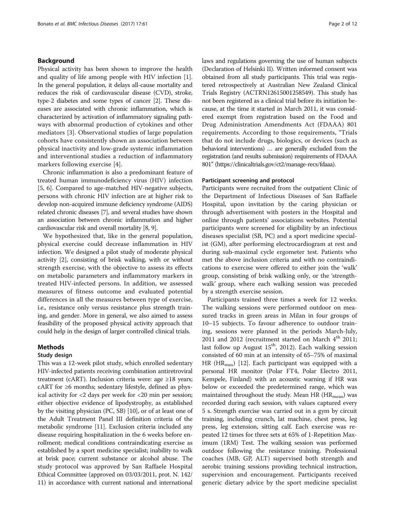## Background

Physical activity has been shown to improve the health and quality of life among people with HIV infection [\[1](#page-10-0)]. In the general population, it delays all-cause mortality and reduces the risk of cardiovascular disease (CVD), stroke, type-2 diabetes and some types of cancer [\[2\]](#page-11-0). These diseases are associated with chronic inflammation, which is characterized by activation of inflammatory signaling pathways with abnormal production of cytokines and other mediators [\[3](#page-11-0)]. Observational studies of large population cohorts have consistently shown an association between physical inactivity and low-grade systemic inflammation and interventional studies a reduction of inflammatory markers following exercise [[4](#page-11-0)].

Chronic inflammation is also a predominant feature of treated human immunodeficiency virus (HIV) infection [[5, 6](#page-11-0)]. Compared to age-matched HIV-negative subjects, persons with chronic HIV infection are at higher risk to develop non-acquired immune deficiency syndrome (AIDS) related chronic diseases [\[7\]](#page-11-0), and several studies have shown an association between chronic inflammation and higher cardiovascular risk and overall mortality [[8](#page-11-0), [9\]](#page-11-0).

We hypothesized that, like in the general population, physical exercise could decrease inflammation in HIV infection. We designed a pilot study of moderate physical activity [[2](#page-11-0)], consisting of brisk walking, with or without strength exercise, with the objective to assess its effects on metabolic parameters and inflammatory markers in treated HIV-infected persons. In addition, we assessed measures of fitness outcome and evaluated potential differences in all the measures between type of exercise, i.e., resistance only versus resistance plus strength training, and gender. More in general, we also aimed to assess feasibility of the proposed physical activity approach that could help in the design of larger controlled clinical trials.

#### Methods

### Study design

This was a 12-week pilot study, which enrolled sedentary HIV-infected patients receiving combination antiretroviral treatment (cART). Inclusion criteria were: age ≥18 years; cART for  $\geq 6$  months; sedentary lifestyle, defined as physical activity for <2 days per week for <20 min per session; either objective evidence of lipodystrophy, as established by the visiting physician (PC, SB) [\[10\]](#page-11-0), or of at least one of the Adult Treatment Panel III definition criteria of the metabolic syndrome [[11](#page-11-0)]. Exclusion criteria included any disease requiring hospitalization in the 6 weeks before enrollment; medical conditions contraindicating exercise as established by a sport medicine specialist; inability to walk at brisk pace; current substance or alcohol abuse. The study protocol was approved by San Raffaele Hospital Ethical Committee (approved on 03/03/2011, prot. N. 142/ 11) in accordance with current national and international laws and regulations governing the use of human subjects (Declaration of Helsinki II). Written informed consent was obtained from all study participants. This trial was registered retrospectively at Australian New Zealand Clinical Trials Registry (ACTRN12615001258549). This study has not been registered as a clinical trial before its initiation because, at the time it started in March 2011, it was considered exempt from registration based on the Food and Drug Administration Amendments Act (FDAAA) 801 requirements. According to those requirements, "Trials that do not include drugs, biologics, or devices (such as behavioral interventions) … are generally excluded from the registration (and results submission) requirements of FDAAA 801" [\(https://clinicaltrials.gov/ct2/manage-recs/fdaaa\)](https://clinicaltrials.gov/ct2/manage-recs/fdaaa).

#### Participant screening and protocol

Participants were recruited from the outpatient Clinic of the Department of Infectious Diseases of San Raffaele Hospital, upon invitation by the caring physician or through advertisement with posters in the Hospital and online through patients' associations websites. Potential participants were screened for eligibility by an infectious diseases specialist (SB, PC) and a sport medicine specialist (GM), after performing electrocardiogram at rest and during sub-maximal cycle ergometer test. Patients who met the above inclusion criteria and with no contraindications to exercise were offered to either join the 'walk' group, consisting of brisk walking only, or the 'strengthwalk' group, where each walking session was preceded by a strength exercise session.

Participants trained three times a week for 12 weeks. The walking sessions were performed outdoor on measured tracks in green areas in Milan in four groups of 10–15 subjects. To favour adherence to outdoor training, sessions were planned in the periods March-July, 2011 and 2012 (recruitment started on March  $4<sup>th</sup>$  2011; last follow up August  $15<sup>th</sup>$ , 2012). Each walking session consisted of 60 min at an intensity of 65–75% of maximal HR (HR<sub>max</sub>) [\[12\]](#page-11-0). Each participant was equipped with a personal HR monitor (Polar FT4, Polar Electro 2011, Kempele, Finland) with an acoustic warning if HR was below or exceeded the predetermined range, which was maintained throughout the study. Mean HR  $(HR_{mean})$  was recorded during each session, with values captured every 5 s. Strength exercise was carried out in a gym by circuit training, including crunch, lat machine, chest press, leg press, leg extension, sitting calf. Each exercise was repeated 12 times for three sets at 65% of 1-Repetition Maximum (1RM) Test. The walking session was performed outdoor following the resistance training. Professional coaches (MB, GP, ALT) supervised both strength and aerobic training sessions providing technical instruction, supervision and encouragement. Participants received generic dietary advice by the sport medicine specialist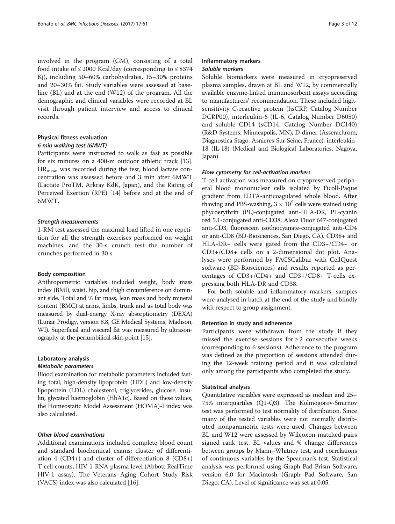involved in the program (GM), consisting of a total food intake of  $\leq 2000$  Kcal/day (corresponding to  $\leq 8374$ Kj), including 50–60% carbohydrates, 15–30% proteins and 20–30% fat. Study variables were assessed at baseline (BL) and at the end (W12) of the program. All the demographic and clinical variables were recorded at BL visit through patient interview and access to clinical records.

## Physical fitness evaluation

## 6 min walking test (6MWT)

Participants were instructed to walk as fast as possible for six minutes on a 400-m outdoor athletic track [\[13](#page-11-0)]. HR<sub>mean</sub> was recorded during the test, blood lactate concentration was assessed before and 3 min after 6MWT (Lactate ProTM, Arkray KdK, Japan), and the Rating of Perceived Exertion (RPE) [\[14\]](#page-11-0) before and at the end of 6MWT.

#### Strength measurements

1-RM test assessed the maximal load lifted in one repetition for all the strength exercises performed on weight machines, and the 30-s crunch test the number of crunches performed in 30 s.

#### Body composition

Anthropometric variables included weight, body mass index (BMI), waist, hip, and thigh circumference on dominant side. Total and % fat mass, lean mass and body mineral content (BMC) at arms, limbs, trunk and as total body was measured by dual-energy X-ray absorptiometry (DEXA) (Lunar Prodigy, version 8.8, GE Medical Systems, Madison, WI). Superficial and visceral fat was measured by ultrasonography at the periumbilical skin-point [[15](#page-11-0)].

## Laboratory analysis

#### Metabolic parameters

Blood examination for metabolic parameters included fasting total, high-density lipoprotein (HDL) and low-density lipoprotein (LDL) cholesterol, triglycerides, glucose, insulin, glycated haemoglobin (HbA1c). Based on these values, the Homeostatic Model Assessment (HOMA)-I index was also calculated.

#### Other blood examinations

Additional examinations included complete blood count and standard biochemical exams; cluster of differentiation 4 (CD4+) and cluster of differentiation 8 (CD8+) T-cell counts, HIV-1-RNA plasma level (Abbott RealTime HIV-1 assay). The Veterans Aging Cohort Study Risk (VACS) index was also calculated [[16](#page-11-0)].

## Inflammatory markers Soluble markers

Soluble biomarkers were measured in cryopreserved plasma samples, drawn at BL and W12, by commercially available enzyme-linked immunosorbent assays according to manufacturers' recommendation. These included highsensitivity C-reactive protein (hsCRP, Catalog Number DCRP00), interleukin-6 (IL-6, Catalog Number D6050) and soluble CD14 (sCD14, Catalog Number DC140) (R&D Systems, Minneapolis, MN), D-dimer (Asserachrom, Diagnostica Stago, Asnieres-Sur-Seine, France), interleukin-18 (IL-18) (Medical and Biological Laboratories, Nagoya, Japan).

#### Flow cytometry for cell-activation markers

T-cell activation was measured on cryopreserved peripheral blood mononuclear cells isolated by Ficoll-Paque gradient from EDTA-anticoagulated whole blood. After thawing and PBS-washing,  $3 \times 10^5$  cells were stained using phycoerythrin (PE)-conjugated anti-HLA-DR, PE-cyanin red 5.1-conjugated anti-CD38, Alexa Fluor 647-conjugated anti-CD3, fluorescein isothiocyanate-conjugated anti-CD4 or anti-CD8 (BD-Biosciences, San Diego, CA). CD38+ and HLA-DR+ cells were gated from the CD3+/CD4+ or CD3+/CD8+ cells on a 2-dimensional dot plot. Analyses were performed by FACSCalibur with CellQuest software (BD-Biosciences) and results reported as percentages of CD3+/CD4+ and CD3+/CD8+ T-cells expressing both HLA-DR and CD38.

For both soluble and inflammatory markers, samples were analysed in batch at the end of the study and blindly with respect to group assignment.

#### Retention in study and adherence

Participants were withdrawn from the study if they missed the exercise sessions for  $\geq 2$  consecutive weeks (corresponding to 6 sessions). Adherence to the program was defined as the proportion of sessions attended during the 12-week training period and it was calculated only among the participants who completed the study.

#### Statistical analysis

Quantitative variables were expressed as median and 25– 75% interquartiles (Q1-Q3). The Kolmogorov-Smirnov test was performed to test normality of distribution. Since many of the tested variables were not normally distributed, nonparametric tests were used. Changes between BL and W12 were assessed by Wilcoxon matched-pairs signed rank test, BL values and % change differences between groups by Mann–Whitney test, and correlations of continuous variables by the Spearman's test. Statistical analysis was performed using Graph Pad Prism Software, version 6.0 for Macintosh (Graph Pad Software, San Diego, CA). Level of significance was set at 0.05.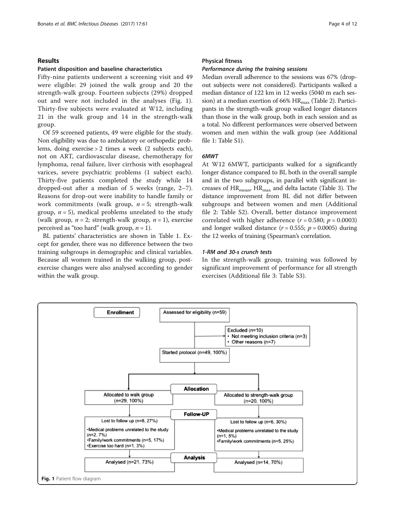#### Results

#### Patient disposition and baseline characteristics

Fifty-nine patients underwent a screening visit and 49 were eligible: 29 joined the walk group and 20 the strength-walk group. Fourteen subjects (29%) dropped out and were not included in the analyses (Fig. 1). Thirty-five subjects were evaluated at W12, including 21 in the walk group and 14 in the strength-walk group.

Of 59 screened patients, 49 were eligible for the study. Non eligibility was due to ambulatory or orthopedic problems, doing exercise > 2 times a week (2 subjects each), not on ART, cardiovascular disease, chemotherapy for lymphoma, renal failure, liver cirrhosis with esophageal varices, severe psychiatric problems (1 subject each). Thirty-five patients completed the study while 14 dropped-out after a median of 5 weeks (range, 2–7). Reasons for drop-out were inability to handle family or work commitments (walk group,  $n = 5$ ; strength-walk group,  $n = 5$ ), medical problems unrelated to the study (walk group,  $n = 2$ ; strength-walk group,  $n = 1$ ), exercise perceived as "too hard" (walk group,  $n = 1$ ).

BL patients' characteristics are shown in Table [1](#page-4-0). Except for gender, there was no difference between the two training subgroups in demographic and clinical variables. Because all women trained in the walking group, postexercise changes were also analysed according to gender within the walk group.

#### Physical fitness

#### Performance during the training sessions

Median overall adherence to the sessions was 67% (dropout subjects were not considered). Participants walked a median distance of 122 km in 12 weeks (5040 m each session) at a median exertion of 66%  $HR_{max}$  (Table [2\)](#page-5-0). Participants in the strength-walk group walked longer distances than those in the walk group, both in each session and as a total. No different performances were observed between women and men within the walk group (see Additional file [1](#page-9-0): Table S1).

#### 6MWT

At W12 6MWT, participants walked for a significantly longer distance compared to BL both in the overall sample and in the two subgroups, in parallel with significant increases of  $HR_{\text{mean}}$ ,  $HR_{\text{max}}$  and delta lactate (Table [3](#page-5-0)). The distance improvement from BL did not differ between subgroups and between women and men (Additional file [2:](#page-10-0) Table S2). Overall, better distance improvement correlated with higher adherence  $(r = 0.580; p = 0.0003)$ and longer walked distance  $(r = 0.555; p = 0.0005)$  during the 12 weeks of training (Spearman's correlation.

#### 1-RM and 30-s crunch tests

In the strength-walk group, training was followed by significant improvement of performance for all strength exercises (Additional file [3:](#page-10-0) Table S3).

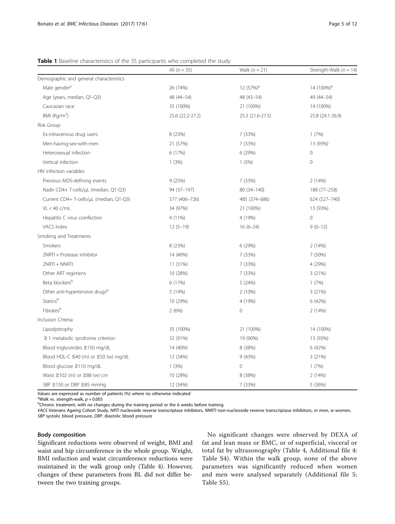|                                                  | All $(n = 35)$   | Walk $(n = 21)$  | Strength-Walk ( $n = 14$ ) |
|--------------------------------------------------|------------------|------------------|----------------------------|
| Demographic and general characteristics          |                  |                  |                            |
| Male gender <sup>a</sup>                         | 26 (74%)         | $12(57%)^a$      | 14 (100%) <sup>a</sup>     |
| Age (years, median, Q1-Q3)                       | 48 (44-54)       | 48 (43-54)       | 49 (44-54)                 |
| Caucasian race                                   | 35 (100%)        | 21 (100%)        | 14 (100%)                  |
| BMI (Kg/m <sup>2</sup> )                         | 25.6 (22.2-27.2) | 25.3 (21.6-27.5) | 25.8 (24.1-26.9)           |
| Risk Group                                       |                  |                  |                            |
| Ex-intravenous drug users                        | 8 (23%)          | 7 (33%)          | 1(7%)                      |
| Men-having-sex-with-men                          | 21 (57%)         | 7 (33%)          | 13 (93%)                   |
| Heterosexual infection                           | 6 (17%)          | 6(29%)           | 0                          |
| Vertical infection                               | 1(3%)            | 1(5%)            | 0                          |
| HIV infection variables                          |                  |                  |                            |
| Previous AIDS-defining events                    | 9(25%)           | 7 (33%)          | 2(14%)                     |
| Nadir CD4+ T-cells/µL (median, Q1-Q3)            | 94 (37-197)      | 80 (34-140)      | 188 (77-258)               |
| Current CD4+ T-cells/µL (median, Q1-Q3)          | 577 (406-726)    | 485 (374-686)    | 624 (527-740)              |
| $VL < 40$ c/mL                                   | 34 (97%)         | 21 (100%)        | 13 (93%)                   |
| Hepatitis C virus coinfection                    | 4 (11%)          | 4 (19%)          | $\overline{0}$             |
| VACS Index                                       | $12(5-19)$       | $16(6-24)$       | $9(0-12)$                  |
| Smoking and Treatments                           |                  |                  |                            |
| Smokers                                          | 8 (23%)          | 6 (29%)          | 2(14%)                     |
| 2NRTI + Protease inhibitor                       | 14 (40%)         | 7 (33%)          | 7 (50%)                    |
| 2NRTI + NNRTI                                    | 11 (31%)         | 7 (33%)          | 4 (29%)                    |
| Other ART regimens                               | 10 (28%)         | 7 (33%)          | 3(21%)                     |
| Beta blockers <sup>b</sup>                       | 6 (17%)          | 5(24%)           | 1(7%)                      |
| Other anti-hypertensive drugsb                   | 5(14%)           | 2(10%)           | 3 (21%)                    |
| Statinsb                                         | 10 (29%)         | 4 (19%)          | 6 (42%)                    |
| Fibratesb                                        | 2(6%)            | $\mathbf 0$      | 2(14%)                     |
| Inclusion Criteria                               |                  |                  |                            |
| Lipodystrophy                                    | 35 (100%)        | 21 (100%)        | 14 (100%)                  |
| $\geq$ 1 metabolic syndrome criterion            | 32 (91%)         | 19 (90%)         | 13 (93%)                   |
| Blood triglycerides ≥150 mg/dL                   | 14 (40%)         | 8 (38%)          | 6 (42%)                    |
| Blood HDL-C $\leq$ 40 (m) or $\leq$ 50 (w) mg/dL | 12 (34%)         | 9(43%)           | 3(21%)                     |
| Blood glucose ≥110 mg/dL                         | 1(3%)            | $\mathbf 0$      | 1(7%)                      |
| Waist $\geq$ 102 (m) or $\geq$ 88 (w) cm         | 10 (28%)         | 8 (38%)          | 2 (14%)                    |
| SBP ≥150 or DBP ≥85 mmHg                         | 12 (34%)         | 7 (33%)          | 5 (36%)                    |

<span id="page-4-0"></span>Table 1 Baseline characteristics of the 35 participants who completed the study

Values are expressed as number of patients (%) where no otherwise indicated

<sup>a</sup>Walk vs. strength-walk,  $p = 0.005$ <br>bChronic treatment, with no chan

<sup>b</sup>Chronic treatment, with no changes during the training period or the 6 weeks before training

VACS Veterans Ageing Cohort Study, NRTI nucleoside reverse transcriptase inhibitors, NNRTI non-nucleoside reverse transcriptase inhibitors, m men, w women, SBP systolic blood pressure, DBP, diastolic blood pressure

#### Body composition

Significant reductions were observed of weight, BMI and waist and hip circumference in the whole group. Weight, BMI reduction and waist circumference reductions were maintained in the walk group only (Table [4](#page-6-0)). However, changes of these parameters from BL did not differ between the two training groups.

No significant changes were observed by DEXA of fat and lean mass or BMC, or of superficial, visceral or total fat by ultrasonography (Table [4](#page-6-0), Additional file [4](#page-10-0): Table S4). Within the walk group, none of the above parameters was significantly reduced when women and men were analysed separately (Additional file [5](#page-10-0): Table S5).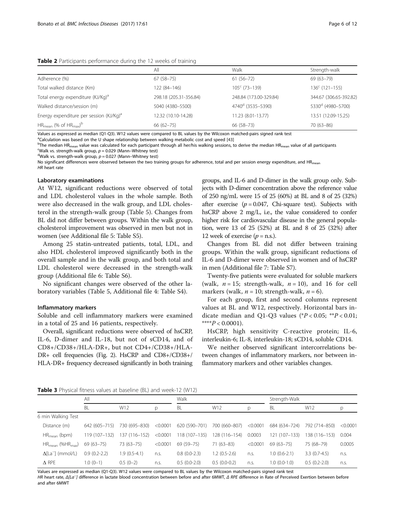#### <span id="page-5-0"></span>Table 2 Participants performance during the 12 weeks of training

|                                                     | All                    | Walk                          | Strength-walk                 |
|-----------------------------------------------------|------------------------|-------------------------------|-------------------------------|
| Adherence (%)                                       | $67(58-75)$            | $61(56 - 72)$                 | 69 (63-79)                    |
| Total walked distance (Km)                          | 122 (84-146)           | $105^{\circ}$ (73-139)        | $136^c$ (121-155)             |
| Total energy expenditure (KJ/Kg) <sup>a</sup>       | 298.18 (205.31-356.84) | 248.84 (173.00-329.84)        | 344.67 (306.65-392.82)        |
| Walked distance/session (m)                         | 5040 (4380-5500)       | 4740 <sup>d</sup> (3535-5390) | 5330 <sup>d</sup> (4980-5700) |
| Energy expenditure per session (KJ/Kg) <sup>a</sup> | 12.32 (10.10-14.28)    | 11.23 (8.01-13.77)            | 13.51 (12.09-15.25)           |
| $HR_{mean}$ (% of $HR_{max}$ ) <sup>b</sup>         | $66(62 - 75)$          | 66 (58-73)                    | $70(63 - 86)$                 |

Values as expressed as median (Q1-Q3). W12 values were compared to BL values by the Wilcoxon matched-pairs signed rank test

<sup>a</sup>Calculation was based on the U shape relationship between walking metabolic cost and speed [[43](#page-11-0)]<br><sup>b</sup>The modian HP

<sup>b</sup>The median HR<sub>mean</sub> value was calculated for each participant through all her/his walking sessions, to derive the median HR<sub>mean</sub> value of all participants 'Walk vs. strength-walk group,  $p = 0.029$  (Mann-Whitney test)

<sup>d</sup>Walk vs. strength-walk group,  $p = 0.027$  (Mann–Whitney test)

No significant differences were observed between the two training groups for adherence, total and per session energy expenditure, and HR<sub>mean</sub> HR heart rate

#### Laboratory examinations

At W12, significant reductions were observed of total and LDL cholesterol values in the whole sample. Both were also decreased in the walk group, and LDL cholesterol in the strength-walk group (Table [5\)](#page-7-0). Changes from BL did not differ between groups. Within the walk group, cholesterol improvement was observed in men but not in women (see Additional file [5](#page-10-0): Table S5).

Among 25 statin-untreated patients, total, LDL, and also HDL cholesterol improved significantly both in the overall sample and in the walk group, and both total and LDL cholesterol were decreased in the strength-walk group (Additional file [6](#page-10-0): Table S6).

No significant changes were observed of the other laboratory variables (Table [5,](#page-7-0) Additional file [4](#page-10-0): Table S4).

#### Inflammatory markers

Soluble and cell inflammatory markers were examined in a total of 25 and 16 patients, respectively.

Overall, significant reductions were observed of hsCRP, IL-6, D-dimer and IL-18, but not of sCD14, and of CD8+/CD38+/HLA-DR+, but not CD4+/CD38+/HLA-DR+ cell frequencies (Fig. [2\)](#page-7-0). HsCRP and CD8+/CD38+/ HLA-DR+ frequency decreased significantly in both training groups, and IL-6 and D-dimer in the walk group only. Subjects with D-dimer concentration above the reference value of 250 ng/mL were 15 of 25 (60%) at BL and 8 of 25 (32%) after exercise ( $p = 0.047$ , Chi-square test). Subjects with hsCRP above 2 mg/L, i.e., the value considered to confer higher risk for cardiovascular disease in the general population, were 13 of 25 (52%) at BL and 8 of 25 (32%) after 12 week of exercise  $(p = n.s.).$ 

Changes from BL did not differ between training groups. Within the walk group, significant reductions of IL-6 and D-dimer were observed in women and of hsCRP in men (Additional file [7](#page-10-0): Table S7).

Twenty-five patients were evaluated for soluble markers (walk,  $n = 15$ ; strength-walk,  $n = 10$ ), and 16 for cell markers (walk,  $n = 10$ ; strength-walk,  $n = 6$ ).

For each group, first and second columns represent values at BL and W12, respectively. Horizontal bars indicate median and Q1-Q3 values ( $P < 0.05$ ;  $*P < 0.01$ ; \*\*\*\* $P < 0.0001$ ).

HsCRP, high sensitivity C-reactive protein; IL-6, interleukin-6; IL-8, interleukin-18; sCD14, soluble CD14.

We neither observed significant intercorrelations between changes of inflammatory markers, nor between inflammatory markers and other variables changes.

**Table 3** Physical fitness values at baseline (BL) and week-12 (W12)

|                                       | All            |                |          | Walk           |                |          | Strength-Walk  |                |          |
|---------------------------------------|----------------|----------------|----------|----------------|----------------|----------|----------------|----------------|----------|
|                                       | BL             | W12            | p        | BL             | W12            | p        | BL             | W12            |          |
| 6 min Walking Test                    |                |                |          |                |                |          |                |                |          |
| Distance (m)                          | 642 (605-715)  | 730 (695-830)  | < 0.0001 | 620 (590-701)  | 700 (660-807)  | < 0.0001 | 684 (634–724)  | 792 (714-850)  | < 0.0001 |
| $HR_{mean}$ (bpm)                     | 119 (107–132)  | 137 (116–152)  | < 0.0001 | 118 (107-135)  | 128 (116-154)  | 0.0003   | 121 (107-133)  | 138 (116-153)  | 0.004    |
| $HR_{mean}$ (% $HR_{max}$ )           | $69(63 - 75)$  | 73 (63-75)     | < 0.0001 | $69(59 - 75)$  | $71(63-83)$    | < 0.0001 | $69(63 - 75)$  | 75 (68-79)     | 0.0005   |
| $\Delta$ [La <sup>--</sup> ] (mmol/L) | $0.9(0.2-2.2)$ | $1.9(0.5-4.1)$ | n.s.     | $0.8(0.0-2.3)$ | $1.2(0.5-2.6)$ | n.S.     | $1.0(0.6-2.1)$ | $3.3(0.7-4.5)$ | n.s.     |
| $\Delta$ RPE                          | $1.0(0-1)$     | $0.5(0-2)$     | n.s.     | $0.5(0.0-2.0)$ | $0.5(0.0-0.2)$ | n.s.     | $1.0(0.0-1.0)$ | $0.5(0.2-2.0)$ | n.s.     |
|                                       |                |                |          |                |                |          |                |                |          |

Values are expressed as median (Q1-Q3). W12 values were compared to BL values by the Wilcoxon matched-pairs signed rank test

HR heart rate, Δ[La<sup>−</sup> ] difference in lactate blood concentration between before and after 6MWT, Δ RPE difference in Rate of Perceived Exertion between before and after 6MWT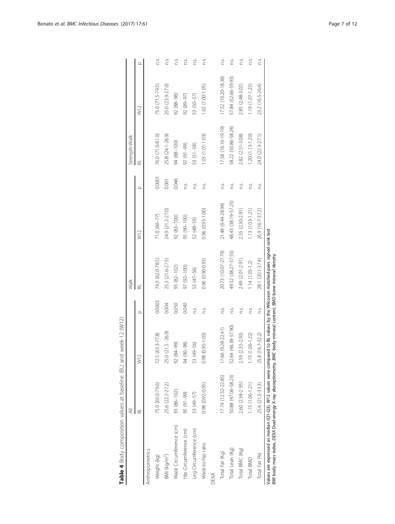<span id="page-6-0"></span>

|                                                                                                                                                                                                                                                | $\overline{a}$      |                                      |          | Walk                |                     |        | Strength-Walk       |                     |          |
|------------------------------------------------------------------------------------------------------------------------------------------------------------------------------------------------------------------------------------------------|---------------------|--------------------------------------|----------|---------------------|---------------------|--------|---------------------|---------------------|----------|
|                                                                                                                                                                                                                                                | $\overline{\alpha}$ | W12                                  | $\Omega$ | 黃                   | W12                 | Ω      | ಹ                   | W12                 | $\Omega$ |
| Anthropometrics                                                                                                                                                                                                                                |                     |                                      |          |                     |                     |        |                     |                     |          |
| Weight (kg)                                                                                                                                                                                                                                    | 75.0 (65.0-79.0)    | 725 (63.3-77.8)                      | 0.0003   | 74.0 (62.0-78.5)    | $71.0(60 - 77)$     | 0.0001 | 76.0 (71.0-81.0)    | 75.0 (71.5-79.5)    | C.S.     |
| BMI (kg/m <sup>2</sup> )                                                                                                                                                                                                                       | 25.6 (22.2-27.2)    | 25.0 (21.5 -26.9)                    | 0.004    | 25.3 (21.6-27.5)    | 24.9 (21.2-27.0)    | 0.001  | 25.8 (24.1-26.9)    | 25.0 (23.9-27.0)    | C.S.     |
| Waist Circumference (cm)                                                                                                                                                                                                                       | 93 (86-102)         | 92 (84-99)                           | 0.050    | 93 (82-102)         | 92 (83-100)         | 0.046  | 94 (88-100)         | 92 (88-98)          | C.       |
| Hip Circumference (cm)                                                                                                                                                                                                                         | 95 (91-99)          | 94 (90-98)                           | 0.040    | 97 (92-100)         | 95 (90-100)         | Σ.     | 92 (91-99)          | 92 (89-97)          | C.S      |
| Leg Circumference (cm)                                                                                                                                                                                                                         | 53 (49-57)          | 53 (49-56)                           | n.S.     | 53 (47-56)          | 52 (48-55)          | C.     | 53 (51-58)          | 53 (50-57)          | ΩŚ.      |
| Waist-to-hip ratio                                                                                                                                                                                                                             | 0.98 (0.92-0.95)    | $(0.95 - 1.03)$<br>0.98 <sub>0</sub> | n.s.     | 0.96 (0.90-0.93)    | $0.96(0.93 - 1.00)$ | C.     | 1.03 (1.01-1.03)    | $1.02(1.00-1.05)$   | n.S.     |
| DEXA                                                                                                                                                                                                                                           |                     |                                      |          |                     |                     |        |                     |                     |          |
| Total Fat (Kg)                                                                                                                                                                                                                                 | 17.74 (12.52-22.85) | $(9.28 - 22.41)$<br>17.66            | n.S.     | 20.73 (10.07-27.79) | 21.48 (9.44-28.94)  | n.s.   | 17.58 (16.16-19.19) | 17.52 (10.20-18.38) | C.       |
| Total Lean (Kg)                                                                                                                                                                                                                                | 50.88 (47.06-58.23) | $(46.38 - 57.90)$<br>52.64           | n.S.     | 49.52 (38.27-57.55) | 48.43 (38.19-57.25) | n.s.   | 58.22 (50.86-58.24) | 57.84 (52.66-59.93) | C.       |
| Total BMC (Kg)                                                                                                                                                                                                                                 | 2.60 (2.38-2 95)    | 2.59 (2.35-2.93)                     | n.s.     | 2.49 (2.01-2.91)    | 2.55 (2.30-2.91)    | C.     | 2.82 (2.51-3.08)    | 2.85 (2.48-3.02)    | ΩŚ.      |
| Total BMD                                                                                                                                                                                                                                      | 1.15 (1.06-1.21)    | $1.15(1.06 - 1.22)$                  | ΩŚ.      | $1.14(1.05-1.2)$    | 1.13 (1.03-1.21)    | C.     | $1.20(1.13 - 1.20)$ | 1.19 (1.07-1.23)    | C.S.     |
| Total Fat (%)                                                                                                                                                                                                                                  | 25.6 (21.5-33.3)    | 25.8 (16.7-32.2)                     | n.S.     | 28.1 (20.1-37.4)    | 26.9 (16.7-37.2)    | n.S.   | 24.0 (22.3-27.1)    | 23.2 (16.5-26.4)    | ΠŚ.      |
| Values are expressed as median (Q1-Q3). W12 values were compared to BL values by the Wilcoxon matched-pairs signed rank test<br>BMI body mass index, DEXA Dual-energy X-ray absorptiometry, BMC body mineral content, BMD bone mineral density |                     |                                      |          |                     |                     |        |                     |                     |          |

Table 4 Body composition values at baseline (BL) and week-12 (W12) Table 4 Body composition values at baseline (BL) and week-12 (W12)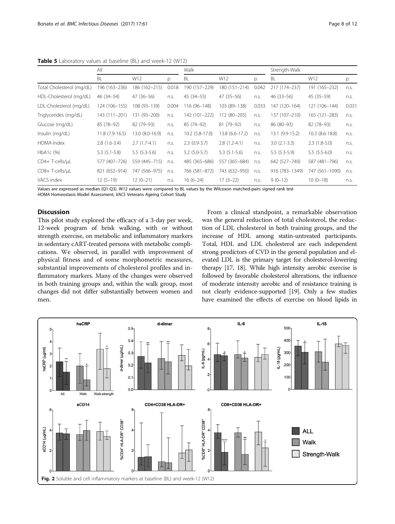<span id="page-7-0"></span>**Table 5** Laboratory values at baseline (BL) and week-12 (W12)

|                           | All             |                 |              | Walk            |                 |       | Strength-Walk   |                 |       |
|---------------------------|-----------------|-----------------|--------------|-----------------|-----------------|-------|-----------------|-----------------|-------|
|                           | <b>BL</b>       | W12             | <sub>D</sub> | <b>BL</b>       | W12             | p     | BL              | W12             | p     |
| Total Cholesterol (mg/dL) | 196 (163–236)   | 186 (162–215)   | 0.018        | 190 (157-229)   | 180 (151-214)   | 0.042 | 217 (174-237)   | 191 (165-232)   | n.s.  |
| HDL-Cholesterol (mg/dL)   | 46 (34-54)      | $47(36-56)$     | n.s.         | 45 (34 - 55)    | $47(35-56)$     | n.s.  | $46(33 - 56)$   | $45(35-59)$     | n.s.  |
| LDL-Cholesterol (mg/dL)   | 124 (106-155)   | 108 (93-139)    | 0.004        | 116 (96-148)    | 103 (89-138)    | 0.033 | 147 (120-164)   | 121 (106-144)   | 0.031 |
| Triglycerides (mg/dL)     | 143 (111-201)   | 131 (93-200)    | n.s.         | 142 (101-222)   | 112 (80-205)    | n.s.  | 137 (107-210)   | 165 (121-283)   | n.s.  |
| Glucose (mg/dL)           | 85 (78-92)      | 82 (79-93)      | n.s.         | 85 (74-92)      | 81 (79-92)      | n.s.  | 86 (80-93)      | 82 (78-93)      | n.s.  |
| Insulin (mg/dL)           | 11.8 (7.9-16.5) | 13.0 (8.0-16.9) | n.s.         | 10.2 (5.8-17.0) | 13.8 (6.6-17.2) | n.s.  | 13.1 (9.9-15.2) | 10.3 (8.6-18.8) | n.s.  |
| HOMA-Index                | $2.8(1.6-3.4)$  | $2.7(1.7-4.1)$  | n.s.         | $2.3(0.9-3.7)$  | $2.8(1.2-4.1)$  | n.s.  | $3.0(2.1-3.3)$  | $2.3(1.8-5.0)$  | n.s.  |
| HbA1c (%)                 | $5.3(5.1-5.8)$  | $5.5(5.3-5.6)$  | n.s.         | $5.2$ (5.0-5.7) | $5.3(5.1-5.6)$  | n.s.  | $5.5(5.3-5.9)$  | $5.5(5.5-6.0)$  | n.s.  |
| CD4+ T-cells/uL           | 577 (407-726)   | 559 (445-715)   | n.s.         | 485 (365-686)   | 557 (365-684)   | n.s.  | 642 (527-740)   | 587 (481-796)   | n.s.  |
| CD8+T-cells/uL            | 821 (652-914)   | 747 (566-975)   | n.s.         | 766 (581-872)   | 743 (632-950)   | n.s.  | 916 (783-1349)  | 747 (561-1090)  | n.s.  |
| VACS index                | $12(5-19)$      | $12(0-21)$      | n.s.         | $16(6-24)$      | $17(3-22)$      | n.s.  | $9(0-12)$       | $10(0-18)$      | n.s.  |

Values are expressed as median (Q1-Q3). W12 values were compared to BL values by the Wilcoxon matched-pairs signed rank test HOMA Homeostasis Model Assessment, VACS Veterans Ageing Cohort Study

#### **Discussion**

This pilot study explored the efficacy of a 3-day per week, 12-week program of brisk walking, with or without strength exercise, on metabolic and inflammatory markers in sedentary cART-treated persons with metabolic complications. We observed, in parallel with improvement of physical fitness and of some morphometric measures, substantial improvements of cholesterol profiles and inflammatory markers. Many of the changes were observed in both training groups and, within the walk group, most changes did not differ substantially between women and men.

From a clinical standpoint, a remarkable observation was the general reduction of total cholesterol, the reduction of LDL cholesterol in both training groups, and the increase of HDL among statin-untreated participants. Total, HDL and LDL cholesterol are each independent strong predictors of CVD in the general population and elevated LDL is the primary target for cholesterol-lowering therapy [[17](#page-11-0), [18\]](#page-11-0). While high intensity aerobic exercise is followed by favorable cholesterol alterations, the influence of moderate intensity aerobic and of resistance training is not clearly evidence-supported [\[19](#page-11-0)]. Only a few studies have examined the effects of exercise on blood lipids in

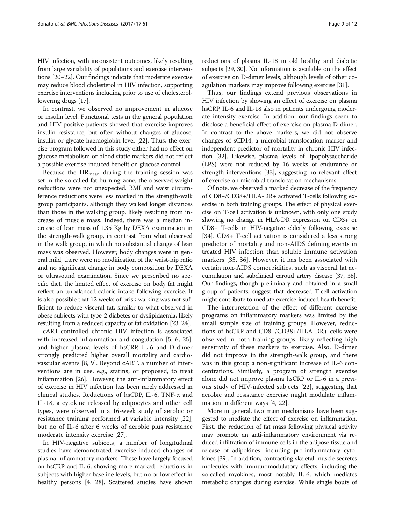HIV infection, with inconsistent outcomes, likely resulting from large variability of populations and exercise interventions [[20](#page-11-0)–[22\]](#page-11-0). Our findings indicate that moderate exercise may reduce blood cholesterol in HIV infection, supporting exercise interventions including prior to use of cholesterollowering drugs [\[17\]](#page-11-0).

In contrast, we observed no improvement in glucose or insulin level. Functional tests in the general population and HIV-positive patients showed that exercise improves insulin resistance, but often without changes of glucose, insulin or glycate haemoglobin level [[22](#page-11-0)]. Thus, the exercise program followed in this study either had no effect on glucose metabolism or blood static markers did not reflect a possible exercise-induced benefit on glucose control.

Because the  $HR_{mean}$  during the training session was set in the so-called fat-burning zone, the observed weight reductions were not unexpected. BMI and waist circumference reductions were less marked in the strength-walk group participants, although they walked longer distances than those in the walking group, likely resulting from increase of muscle mass. Indeed, there was a median increase of lean mass of 1.35 Kg by DEXA examination in the strength-walk group, in contrast from what observed in the walk group, in which no substantial change of lean mass was observed. However, body changes were in general mild, there were no modification of the waist-hip ratio and no significant change in body composition by DEXA or ultrasound examination. Since we prescribed no specific diet, the limited effect of exercise on body fat might reflect an unbalanced caloric intake following exercise. It is also possible that 12 weeks of brisk walking was not sufficient to reduce visceral fat, similar to what observed in obese subjects with type-2 diabetes or dyslipidaemia, likely resulting from a reduced capacity of fat oxidation [\[23, 24](#page-11-0)].

cART-controlled chronic HIV infection is associated with increased inflammation and coagulation [\[5](#page-11-0), [6](#page-11-0), [25](#page-11-0)], and higher plasma levels of hsCRP, IL-6 and D-dimer strongly predicted higher overall mortality and cardiovascular events [\[8](#page-11-0), [9\]](#page-11-0). Beyond cART, a number of interventions are in use, e.g., statins, or proposed, to treat inflammation [\[26\]](#page-11-0). However, the anti-inflammatory effect of exercise in HIV infection has been rarely addressed in clinical studies. Reductions of hsCRP, IL-6, TNF-α and IL-18, a cytokine released by adipocytes and other cell types, were observed in a 16-week study of aerobic or resistance training performed at variable intensity [\[22](#page-11-0)], but no of IL-6 after 6 weeks of aerobic plus resistance moderate intensity exercise [[27\]](#page-11-0).

In HIV-negative subjects, a number of longitudinal studies have demonstrated exercise-induced changes of plasma inflammatory markers. These have largely focused on hsCRP and IL-6, showing more marked reductions in subjects with higher baseline levels, but no or low effect in healthy persons [\[4, 28](#page-11-0)]. Scattered studies have shown reductions of plasma IL-18 in old healthy and diabetic subjects [[29](#page-11-0), [30](#page-11-0)]. No information is available on the effect of exercise on D-dimer levels, although levels of other coagulation markers may improve following exercise [\[31\]](#page-11-0).

Thus, our findings extend previous observations in HIV infection by showing an effect of exercise on plasma hsCRP, IL-6 and IL-18 also in patients undergoing moderate intensity exercise. In addition, our findings seem to disclose a beneficial effect of exercise on plasma D-dimer. In contrast to the above markers, we did not observe changes of sCD14, a microbial translocation marker and independent predictor of mortality in chronic HIV infection [\[32\]](#page-11-0). Likewise, plasma levels of lipopolysaccharide (LPS) were not reduced by 16 weeks of endurance or strength interventions [[33](#page-11-0)], suggesting no relevant effect of exercise on microbial translocation mechanisms.

Of note, we observed a marked decrease of the frequency of CD8+/CD38+/HLA-DR+ activated T-cells following exercise in both training groups. The effect of physical exercise on T-cell activation is unknown, with only one study showing no change in HLA-DR expression on CD3+ or CD8+ T-cells in HIV-negative elderly following exercise [[34\]](#page-11-0). CD8+ T-cell activation is considered a less strong predictor of mortality and non-AIDS defining events in treated HIV infection than soluble immune activation markers [\[35](#page-11-0), [36\]](#page-11-0). However, it has been associated with certain non-AIDS comorbidities, such as visceral fat accumulation and subclinical carotid artery disease [[37, 38\]](#page-11-0). Our findings, though preliminary and obtained in a small group of patients, suggest that decreased T-cell activation might contribute to mediate exercise-induced health benefit.

The interpretation of the effect of different exercise programs on inflammatory markers was limited by the small sample size of training groups. However, reductions of hsCRP and CD8+/CD38+/HLA-DR+ cells were observed in both training groups, likely reflecting high sensitivity of these markers to exercise. Also, D-dimer did not improve in the strength-walk group, and there was in this group a non-significant increase of IL-6 concentrations. Similarly, a program of strength exercise alone did not improve plasma hsCRP or IL-6 in a previous study of HIV-infected subjects [\[22\]](#page-11-0), suggesting that aerobic and resistance exercise might modulate inflammation in different ways [\[4](#page-11-0), [22](#page-11-0)].

More in general, two main mechanisms have been suggested to mediate the effect of exercise on inflammation. First, the reduction of fat mass following physical activity may promote an anti-inflammatory environment via reduced infiltration of immune cells in the adipose tissue and release of adipokines, including pro-inflammatory cytokines [\[39](#page-11-0)]. In addition, contracting skeletal muscle secretes molecules with immunomodulatory effects, including the so-called myokines, most notably IL-6, which mediates metabolic changes during exercise. While single bouts of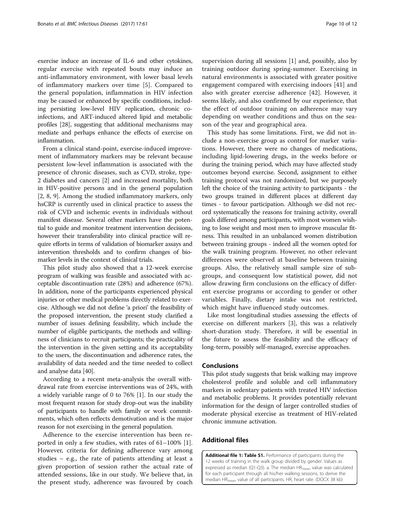<span id="page-9-0"></span>exercise induce an increase of IL-6 and other cytokines, regular exercise with repeated bouts may induce an anti-inflammatory environment, with lower basal levels of inflammatory markers over time [\[5](#page-11-0)]. Compared to the general population, inflammation in HIV infection may be caused or enhanced by specific conditions, including persisting low-level HIV replication, chronic coinfections, and ART-induced altered lipid and metabolic profiles [\[28\]](#page-11-0), suggesting that additional mechanisms may mediate and perhaps enhance the effects of exercise on inflammation.

From a clinical stand-point, exercise-induced improvement of inflammatory markers may be relevant because persistent low-level inflammation is associated with the presence of chronic diseases, such as CVD, stroke, type-2 diabetes and cancers [\[2](#page-11-0)] and increased mortality, both in HIV-positive persons and in the general population [[2, 8](#page-11-0), [9](#page-11-0)]. Among the studied inflammatory markers, only hsCRP is currently used in clinical practice to assess the risk of CVD and ischemic events in individuals without manifest disease. Several other markers have the potential to guide and monitor treatment intervention decisions, however their transferability into clinical practice will require efforts in terms of validation of biomarker assays and intervention thresholds and to confirm changes of biomarker levels in the context of clinical trials.

This pilot study also showed that a 12-week exercise program of walking was feasible and associated with acceptable discontinuation rate (28%) and adherence (67%). In addition, none of the participants experienced physical injuries or other medical problems directly related to exercise. Although we did not define 'a priori' the feasibility of the proposed intervention, the present study clarified a number of issues defining feasibility, which include the number of eligible participants, the methods and willingness of clinicians to recruit participants; the practicality of the intervention in the given setting and its acceptability to the users, the discontinuation and adherence rates, the availability of data needed and the time needed to collect and analyse data [\[40\]](#page-11-0).

According to a recent meta-analysis the overall withdrawal rate from exercise interventions was of 24%, with a widely variable range of 0 to 76% [\[1](#page-10-0)]. In our study the most frequent reason for study drop-out was the inability of participants to handle with family or work commitments, which often reflects demotivation and is the major reason for not exercising in the general population.

Adherence to the exercise intervention has been reported in only a few studies, with rates of 61–100% [\[1](#page-10-0)]. However, criteria for defining adherence vary among studies – e.g., the rate of patients attending at least a given proportion of session rather the actual rate of attended sessions, like in our study. We believe that, in the present study, adherence was favoured by coach supervision during all sessions [[1\]](#page-10-0) and, possibly, also by training outdoor during spring-summer. Exercising in natural environments is associated with greater positive engagement compared with exercising indoors [[41\]](#page-11-0) and also with greater exercise adherence [[42\]](#page-11-0). However, it seems likely, and also confirmed by our experience, that the effect of outdoor training on adherence may vary depending on weather conditions and thus on the season of the year and geographical area.

This study has some limitations. First, we did not include a non-exercise group as control for marker variations. However, there were no changes of medications, including lipid-lowering drugs, in the weeks before or during the training period, which may have affected study outcomes beyond exercise. Second, assignment to either training protocol was not randomized, but we purposely left the choice of the training activity to participants - the two groups trained in different places at different day times - to favour participation. Although we did not record systematically the reasons for training activity, overall goals differed among participants, with most women wishing to lose weight and most men to improve muscular fitness. This resulted in an unbalanced women distribution between training groups - indeed all the women opted for the walk training program. However, no other relevant differences were observed at baseline between training groups. Also, the relatively small sample size of subgroups, and consequent low statistical power, did not allow drawing firm conclusions on the efficacy of different exercise programs or according to gender or other variables. Finally, dietary intake was not restricted, which might have influenced study outcomes.

Like most longitudinal studies assessing the effects of exercise on different markers [[3\]](#page-11-0), this was a relatively short-duration study. Therefore, it will be essential in the future to assess the feasibility and the efficacy of long-term, possibly self-managed, exercise approaches.

### Conclusions

This pilot study suggests that brisk walking may improve cholesterol profile and soluble and cell inflammatory markers in sedentary patients with treated HIV infection and metabolic problems. It provides potentially relevant information for the design of larger controlled studies of moderate physical exercise as treatment of HIV-related chronic immune activation.

## Additional files

[Additional file 1: Table S1.](dx.doi.org/10.1186/s12879-016-2095-9) Performance of participants during the 12 weeks of training in the walk group divided by gender. Values as expressed as median (Q1-Q3). a. The median HR<sub>mean</sub> value was calculated for each participant through all his/her walking sessions, to derive the median HR<sub>mean</sub> value of all participants. HR, heart rate. (DOCX 38 kb)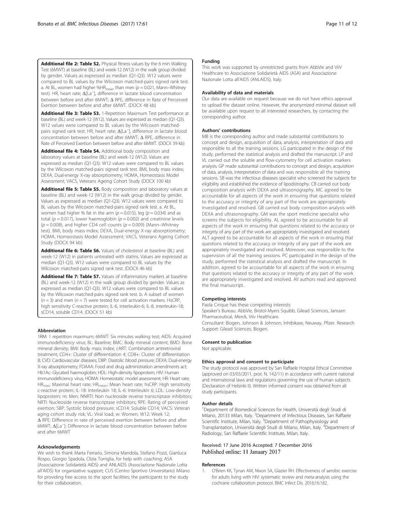<span id="page-10-0"></span>[Additional file 2: Table S2.](dx.doi.org/10.1186/s12879-016-2095-9) Physical fitness values by the 6 min Walking Test (6MWT) at baseline (BL) and week-12 (W12) in the walk group divided by gender. Values as expressed as median (Q1-Q3). W12 values were compared to BL values by the Wilcoxon matched-pairs signed rank test. a. At BL, women had higher %HR<sub>mean</sub> than men ( $p = 0.021$ , Mann–Whitney test). HR, heart rate; Δ[La<sup>−</sup> ], difference in lactate blood concentration between before and after 6MWT; Δ RPE, difference in Rate of Perceived Exertion between before and after 6MWT. (DOCX 48 kb)

[Additional file 3: Table S3.](dx.doi.org/10.1186/s12879-016-2095-9) 1-Repetition Maximum Test performance at baseline (BL) and week-12 (W12). Values are expressed as median (Q1-Q3). W12 values were compared to BL values by the Wilcoxon matchedpairs signed rank test. HR, heart rate; Δ[La<sup>−</sup> ], difference in lactate blood concentration between before and after 6MWT; Δ RPE, difference in Rate of Perceived Exertion between before and after 6MWT. (DOCX 39 kb)

[Additional file 4: Table S4.](dx.doi.org/10.1186/s12879-016-2095-9) Additional body composition and laboratory values at baseline (BL) and week-12 (W12). Values are expressed as median (Q1-Q3). W12 values were compared to BL values by the Wilcoxon matched-pairs signed rank test. BMI, body mass index; DEXA, Dual-energy X-ray absorptiometry; HOMA, Homeostasis Model Assessment; VACS, Veterans Ageing Cohort Study (DOCX 100 kb)

[Additional file 5: Table S5.](dx.doi.org/10.1186/s12879-016-2095-9) Body composition and laboratory values at baseline (BL) and week-12 (W12) in the walk group divided by gender. Values as expressed as median (Q1-Q3). W12 values were compared to BL values by the Wilcoxon matched-pairs signed rank test. a. At BL, women had higher % fat in the arm ( $p = 0.015$ ), leg ( $p = 0.034$ ) and as total ( $p = 0.017$ ), lower haemoglobin ( $p = 0.002$ ) and creatinine levels  $(p = 0.008)$ , and higher CD4 cell counts  $(p = 0.009)$  (Mann–Whitney test). BMI, body mass index; DEXA, Dual-energy X-ray absorptiometry; HOMA, Homeostasis Model Assessment; VACS, Veterans Ageing Cohort Study (DOCX 94 kb)

[Additional file 6: Table S6.](dx.doi.org/10.1186/s12879-016-2095-9) Values of cholesterol at baseline (BL) and week-12 (W12) in patients untreated with statins. Values are expressed as median (Q1-Q3). W12 values were compared to BL values by the Wilcoxon matched-pairs signed rank test. (DOCX 46 kb)

[Additional file 7: Table S7.](dx.doi.org/10.1186/s12879-016-2095-9) Values of inflammatory markers at baseline (BL) and week-12 (W12) in the walk group divided by gender. Values as expressed as median (Q1-Q3). W12 values were compared to BL values by the Wilcoxon matched-pairs signed rank test. b. A subset of women  $(n = 3)$  and men  $(n = 7)$  were tested for cell activation markers. HsCRP, high sensitivity C-reactive protein; IL-6, interleukin-6; IL-8, interleukin-18; sCD14, soluble CD14. (DOCX 51 kb)

#### Abbreviation

1RM: 1 repetition maximum; 6MWT: Six minutes walking test; AIDS: Acquired immunodeficiency virus; BL: Baseline; BMC: Body mineral content; BMD: Bone mineral density; BMI: Body mass index; cART: Combination antiretroviral treatment; CD4+: Cluster of differentiation 4; CD8+: Cluster of differentiation 8; CVD: Cardiovascular diseases; DBP: Diastolic blood pressure; DEXA: Dual-energy X-ray absorptiometry; FDAAA: Food and drug administration amendments act; Hb1Ac: Glycated haemoglobin; HDL: High-density lipoprotein; HIV: Human immunodeficiency virus; HOMA: Homeostatic model assessment; HR: Heart rate; HRmax: Maximal heart rate; HRmean: Mean heart rate; hsCRP: High sensitivity c-reactive protein; IL-18: Interleukin 18; IL-6: Interleukin 6; LDL: Low-density lipoprotein; m: Men; NNRTI: Non nucleoside reverse transcriptase inhibitors; NRTI: Nucleoside reverse transcriptase inhibitors; RPE: Rating of perceived exertion; SBP: Systolic blood pressure; sCD14: Soluble CD14; VACS: Veteran aging cohort study risk; VL: Viral load; w: Women; W12: Week 12; Δ RPE: Difference in rate of perceived exertion between before and after 6MWT; Δ[La<sup>−</sup> ]: Difference in lactate blood concentration between before and after 6MWT

#### Acknowledgements

We wish to thank Marta Ferrario, Simona Mandola, Stefano Pozzi, Gianluca Rospo, Giorgio Spadola, Clizia Torriglia, for help with coaching; ASA (Associazione Solidarietà AIDS) and ANLAIDS (Associazione Nazionale Lotta all'AIDS) for organizative support; CUS (Centro Sportivo Universitario) Milano for providing free access to the sport facilities; the participants to the study for their collaboration.

#### Funding

This work was supported by unrestricted grants from AbbVie and ViiV Healthcare to Associazione Solidarietà AIDS (ASA) and Associazione Nazionale Lotta all'AIDS (ANLAIDS), Italy.

#### Availability of data and materials

Our data are available on request because we do not have ethics approval to upload the dataset online. However, the anonymized minimal dataset will be available upon request to all interested researchers, by contacting the corresponding author.

#### Authors' contributions

MB is the corresponding author and made substantial contributions to concept and design, acquisition of data, analysis, interpretation of data and responsible to all the training sessions. LG participated in the design of the study, performed the statistical analysis and drafted the manuscript. LP and VL carried out the soluble and flow-cytometry for cell activation markers analysis. GP made substantial contributions to concept and design, acquisition of data, analysis, interpretation of data and was responsible all the training sessions. SB was the infectious diseases specialist who screened the subjects for eligibility and established the evidence of lipodistrophy. CB carried out body composition analysis with DEXA and ultrasonography. MC agreed to be accountable for all aspects of the work in ensuring that questions related to the accuracy or integrity of any part of the work are appropriately investigated and resolved. GB carried out body composition analysis with DEXA and ultrasonography. GM was the sport medicine specialist who screens the subjects for eligibility. AL agreed to be accountable for all aspects of the work in ensuring that questions related to the accuracy or integrity of any part of the work are appropriately investigated and resolved. ALT agreed to be accountable for all aspects of the work in ensuring that questions related to the accuracy or integrity of any part of the work are appropriately investigated and resolved. Moreover, was responsible to the supervision of all the training sessions. PC participated in the design of the study, performed the statistical analysis and drafted the manuscript. In addition, agreed to be accountable for all aspects of the work in ensuring that questions related to the accuracy or integrity of any part of the work are appropriately investigated and resolved. All authors read and approved the final manuscript.

#### Competing interests

Paola Cinque has these competing interests:

Speaker's Bureau: AbbVie, Bristol-Myers Squibb, Gilead Sciences, Janssen Pharmaceutical, Merck, Viiv Healthcare.

Consultant: Biogen, Johnson & Johnson, Inhibikase, Neuway, Pfizer. Research Support: Gilead Sciences, Biogen.

#### Consent to publication

Not applicable.

#### Ethics approval and consent to participate

The study protocol was approved by San Raffaele Hospital Ethical Committee (approved on 03/03/2011, prot. N. 142/11) in accordance with current national and international laws and regulations governing the use of human subjects (Declaration of Helsinki II). Written informed consent was obtained from all study participants.

#### Author details

<sup>1</sup>Department of Biomedical Sciences for Health, Università degli Studi di Milano, 20133 Milan, Italy. <sup>2</sup>Department of Infectious Diseases, San Raffaele Scientific Institute, Milan, Italy. <sup>3</sup>Department of Pathophysiology and Transplantation, Università degli Studi di Milano, Milan, Italy. <sup>4</sup>Department of Radiology, San Raffaele Scientific Institute, Milan, Italy.

#### Received: 17 June 2016 Accepted: 7 December 2016 Published online: 11 January 2017

#### References

1. O'Brien KK, Tynan AM, Nixon SA, Glazier RH. Effectiveness of aerobic exercise for adults living with HIV: systematic review and meta-analysis using the cochrane collaboration protocol. BMC Infect Dis. 2016;16:182.